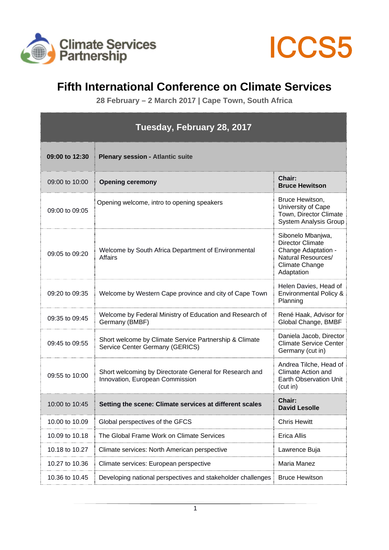



## **Fifth International Conference on Climate Services**

**28 February – 2 March 2017 | Cape Town, South Africa** 

| Tuesday, February 28, 2017 |                                                                                            |                                                                                                                    |
|----------------------------|--------------------------------------------------------------------------------------------|--------------------------------------------------------------------------------------------------------------------|
| 09:00 to 12:30             | <b>Plenary session - Atlantic suite</b>                                                    |                                                                                                                    |
| 09:00 to 10:00             | <b>Opening ceremony</b>                                                                    | Chair:<br><b>Bruce Hewitson</b>                                                                                    |
| 09:00 to 09:05             | Opening welcome, intro to opening speakers                                                 | Bruce Hewitson,<br>University of Cape<br>Town, Director Climate<br>System Analysis Group                           |
| 09:05 to 09:20             | Welcome by South Africa Department of Environmental<br><b>Affairs</b>                      | Sibonelo Mbanjwa,<br>Director Climate<br>Change Adaptation -<br>Natural Resources/<br>Climate Change<br>Adaptation |
| 09:20 to 09:35             | Welcome by Western Cape province and city of Cape Town                                     | Helen Davies, Head of<br><b>Environmental Policy &amp;</b><br>Planning                                             |
| 09:35 to 09:45             | Welcome by Federal Ministry of Education and Research of<br>Germany (BMBF)                 | René Haak, Advisor for<br>Global Change, BMBF                                                                      |
| 09:45 to 09:55             | Short welcome by Climate Service Partnership & Climate<br>Service Center Germany (GERICS)  | Daniela Jacob, Director<br><b>Climate Service Center</b><br>Germany (cut in)                                       |
| 09:55 to 10:00             | Short welcoming by Directorate General for Research and<br>Innovation, European Commission | Andrea Tilche, Head of<br><b>Climate Action and</b><br>Earth Observation Unit<br>(cut in)                          |
| 10:00 to 10:45             | Setting the scene: Climate services at different scales                                    | Chair:<br><b>David Lesolle</b>                                                                                     |
| 10.00 to 10.09             | Global perspectives of the GFCS                                                            | <b>Chris Hewitt</b>                                                                                                |
| 10.09 to 10.18             | The Global Frame Work on Climate Services                                                  | Erica Allis                                                                                                        |
| 10.18 to 10.27             | Climate services: North American perspective                                               | Lawrence Buja                                                                                                      |
| 10.27 to 10.36             | Climate services: European perspective                                                     | Maria Manez                                                                                                        |
| 10.36 to 10.45             | Developing national perspectives and stakeholder challenges                                | <b>Bruce Hewitson</b>                                                                                              |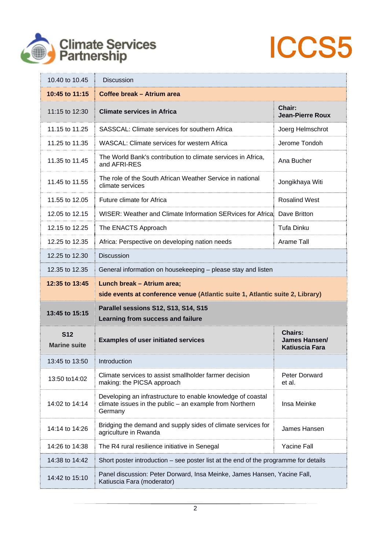



| 10.40 to 10.45                    | <b>Discussion</b>                                                                                                                 |                                                          |
|-----------------------------------|-----------------------------------------------------------------------------------------------------------------------------------|----------------------------------------------------------|
| 10:45 to 11:15                    | Coffee break - Atrium area                                                                                                        |                                                          |
| 11:15 to 12:30                    | <b>Climate services in Africa</b>                                                                                                 | Chair:<br><b>Jean-Pierre Roux</b>                        |
| 11.15 to 11.25                    | SASSCAL: Climate services for southern Africa                                                                                     | Joerg Helmschrot                                         |
| 11.25 to 11.35                    | WASCAL: Climate services for western Africa                                                                                       | Jerome Tondoh                                            |
| 11.35 to 11.45                    | The World Bank's contribution to climate services in Africa,<br>and AFRI-RES                                                      | Ana Bucher                                               |
| 11.45 to 11.55                    | The role of the South African Weather Service in national<br>climate services                                                     | Jongikhaya Witi                                          |
| 11.55 to 12.05                    | Future climate for Africa                                                                                                         | <b>Rosalind West</b>                                     |
| 12.05 to 12.15                    | WISER: Weather and Climate Information SERvices for Africa                                                                        | Dave Britton                                             |
| 12.15 to 12.25                    | The ENACTS Approach                                                                                                               | <b>Tufa Dinku</b>                                        |
| 12.25 to 12.35                    | Africa: Perspective on developing nation needs                                                                                    | Arame Tall                                               |
| 12.25 to 12.30                    | <b>Discussion</b>                                                                                                                 |                                                          |
| 12.35 to 12.35                    | General information on housekeeping - please stay and listen                                                                      |                                                          |
| 12:35 to 13:45                    | Lunch break - Atrium area;<br>side events at conference venue (Atlantic suite 1, Atlantic suite 2, Library)                       |                                                          |
| 13:45 to 15:15                    | Parallel sessions S12, S13, S14, S15<br>Learning from success and failure                                                         |                                                          |
| <b>S12</b><br><b>Marine suite</b> | <b>Examples of user initiated services</b>                                                                                        | <b>Chairs:</b><br>James Hansen/<br><b>Katiuscia Fara</b> |
| 13:45 to 13:50                    | Introduction                                                                                                                      |                                                          |
| 13:50 to 14:02                    | Climate services to assist smallholder farmer decision<br>making: the PICSA approach                                              | <b>Peter Dorward</b><br>et al.                           |
| 14:02 to 14:14                    | Developing an infrastructure to enable knowledge of coastal<br>climate issues in the public - an example from Northern<br>Germany | Insa Meinke                                              |
| 14:14 to 14:26                    | Bridging the demand and supply sides of climate services for<br>agriculture in Rwanda                                             | James Hansen                                             |
| 14:26 to 14:38                    | The R4 rural resilience initiative in Senegal                                                                                     | <b>Yacine Fall</b>                                       |
| 14:38 to 14:42                    | Short poster introduction – see poster list at the end of the programme for details                                               |                                                          |
| 14:42 to 15:10                    | Panel discussion: Peter Dorward, Insa Meinke, James Hansen, Yacine Fall,<br>Katiuscia Fara (moderator)                            |                                                          |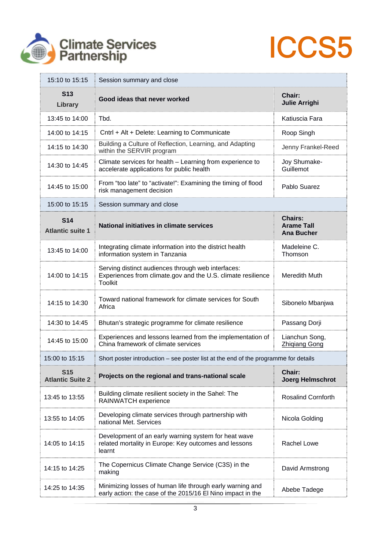



| 15:10 to 15:15                        | Session summary and close                                                                                                            |                                                          |
|---------------------------------------|--------------------------------------------------------------------------------------------------------------------------------------|----------------------------------------------------------|
| <b>S13</b><br>Library                 | Good ideas that never worked                                                                                                         | Chair:<br><b>Julie Arrighi</b>                           |
| 13:45 to 14:00                        | Tbd.                                                                                                                                 | Katiuscia Fara                                           |
| 14:00 to 14:15                        | Cntrl + Alt + Delete: Learning to Communicate                                                                                        | Roop Singh                                               |
| 14:15 to 14:30                        | Building a Culture of Reflection, Learning, and Adapting<br>within the SERVIR program                                                | Jenny Frankel-Reed                                       |
| 14:30 to 14:45                        | Climate services for health - Learning from experience to<br>accelerate applications for public health                               | Joy Shumake-<br>Guillemot                                |
| 14:45 to 15:00                        | From "too late" to "activate!": Examining the timing of flood<br>risk management decision                                            | Pablo Suarez                                             |
| 15:00 to 15:15                        | Session summary and close                                                                                                            |                                                          |
| <b>S14</b><br><b>Atlantic suite 1</b> | National initiatives in climate services                                                                                             | <b>Chairs:</b><br><b>Arame Tall</b><br><b>Ana Bucher</b> |
| 13:45 to 14:00                        | Integrating climate information into the district health<br>information system in Tanzania                                           | Madeleine C.<br>Thomson                                  |
| 14:00 to 14:15                        | Serving distinct audiences through web interfaces:<br>Experiences from climate.gov and the U.S. climate resilience<br><b>Toolkit</b> | Meredith Muth                                            |
| 14:15 to 14:30                        | Toward national framework for climate services for South<br>Africa                                                                   | Sibonelo Mbanjwa                                         |
| 14:30 to 14:45                        | Bhutan's strategic programme for climate resilience                                                                                  | Passang Dorji                                            |
| 14:45 to 15:00                        | Experiences and lessons learned from the implementation of<br>China framework of climate services                                    | Lianchun Song,<br><b>Zhiqiang Gong</b>                   |
| 15:00 to 15:15                        | Short poster introduction - see poster list at the end of the programme for details                                                  |                                                          |
| <b>S15</b><br><b>Atlantic Suite 2</b> | Projects on the regional and trans-national scale                                                                                    | Chair:<br><b>Joerg Helmschrot</b>                        |
| 13:45 to 13:55                        | Building climate resilient society in the Sahel: The<br>RAINWATCH experience                                                         | <b>Rosalind Cornforth</b>                                |
| 13:55 to 14:05                        | Developing climate services through partnership with<br>national Met. Services                                                       | Nicola Golding                                           |
| 14:05 to 14:15                        | Development of an early warning system for heat wave<br>related mortality in Europe: Key outcomes and lessons<br>learnt              | Rachel Lowe                                              |
| 14:15 to 14:25                        | The Copernicus Climate Change Service (C3S) in the<br>making                                                                         | David Armstrong                                          |
| 14:25 to 14:35                        | Minimizing losses of human life through early warning and<br>early action: the case of the 2015/16 El Nino impact in the             | Abebe Tadege                                             |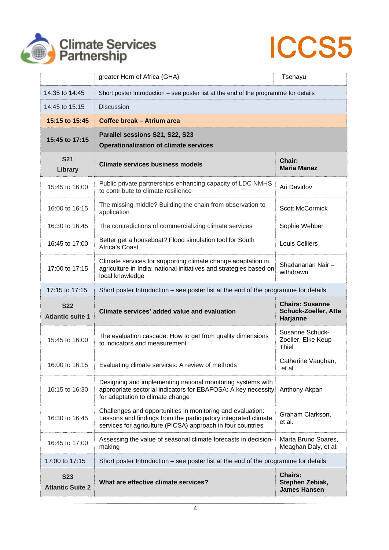



|                                       | greater Horn of Africa (GHA)                                                                                                                                                                | Tsehayu                                                           |
|---------------------------------------|---------------------------------------------------------------------------------------------------------------------------------------------------------------------------------------------|-------------------------------------------------------------------|
| 14:35 to 14:45                        | Short poster Introduction – see poster list at the end of the programme for details                                                                                                         |                                                                   |
| 14:45 to 15:15                        | <b>Discussion</b>                                                                                                                                                                           |                                                                   |
| 15:15 to 15:45                        | Coffee break - Atrium area                                                                                                                                                                  |                                                                   |
| 15:45 to 17:15                        | Parallel sessions S21, S22, S23<br><b>Operationalization of climate services</b>                                                                                                            |                                                                   |
| <b>S21</b><br>Library                 | <b>Climate services business models</b>                                                                                                                                                     | Chair:<br><b>Maria Manez</b>                                      |
| 15:45 to 16:00                        | Public private partnerships enhancing capacity of LDC NMHS<br>to contribute to climate resilience                                                                                           | Ari Davidov                                                       |
| 16:00 to 16:15                        | The missing middle? Building the chain from observation to<br>application                                                                                                                   | <b>Scott McCormick</b>                                            |
| 16:30 to 16:45                        | The contradictions of commercializing climate services                                                                                                                                      | Sophie Webber                                                     |
| 16:45 to 17:00                        | Better get a houseboat? Flood simulation tool for South<br>Africa's Coast                                                                                                                   | <b>Louis Celliers</b>                                             |
| 17:00 to 17:15                        | Climate services for supporting climate change adaptation in<br>agriculture in India: national initiatives and strategies based on<br>local knowledge                                       | Shadananan Nair-<br>withdrawn                                     |
| 17:15 to 17:15                        | Short poster Introduction – see poster list at the end of the programme for details                                                                                                         |                                                                   |
| <b>S22</b><br><b>Atlantic suite 1</b> | Climate services' added value and evaluation                                                                                                                                                | <b>Chairs: Susanne</b><br><b>Schuck-Zoeller, Atte</b><br>Harjanne |
| 15:45 to 16:00                        | The evaluation cascade: How to get from quality dimensions<br>to indicators and measurement                                                                                                 | Susanne Schuck-<br>Zoeller, Elke Keup-<br>Thiel                   |
| 16:00 to 16:15                        | Evaluating climate services: A review of methods                                                                                                                                            | Catherine Vaughan,<br>et al.                                      |
| 16:15 to 16:30                        | Designing and implementing national monitoring systems with<br>appropriate sectorial indicators for EBAFOSA: A key necessity<br>for adaptation to climate change                            | Anthony Akpan                                                     |
| 16:30 to 16:45                        | Challenges and opportunities in monitoring and evaluation:<br>Lessons and findings from the participatory integrated climate<br>services for agriculture (PICSA) approach in four countries | Graham Clarkson,<br>et al.                                        |
| 16:45 to 17:00                        | Assessing the value of seasonal climate forecasts in decision-<br>making                                                                                                                    | Marta Bruno Soares,<br>Meaghan Daly, et al.                       |
| 17:00 to 17:15                        | Short poster Introduction – see poster list at the end of the programme for details                                                                                                         |                                                                   |
| <b>S23</b><br><b>Atlantic Suite 2</b> | What are effective climate services?                                                                                                                                                        | <b>Chairs:</b><br>Stephen Zebiak,<br><b>James Hansen</b>          |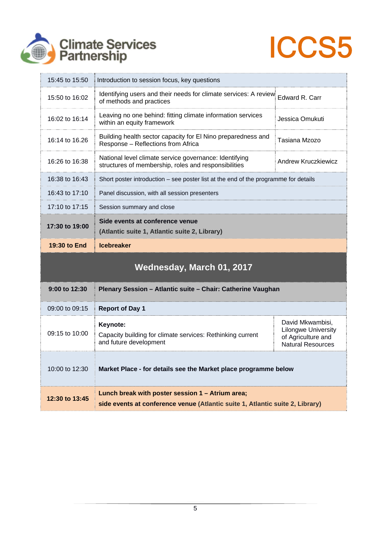



| 15:45 to 15:50            | Introduction to session focus, key questions                                                                   |                                                                                                  |
|---------------------------|----------------------------------------------------------------------------------------------------------------|--------------------------------------------------------------------------------------------------|
| 15:50 to 16:02            | Identifying users and their needs for climate services: A review<br>of methods and practices                   | Edward R. Carr                                                                                   |
| 16:02 to 16:14            | Leaving no one behind: fitting climate information services<br>within an equity framework                      | Jessica Omukuti                                                                                  |
| 16:14 to 16.26            | Building health sector capacity for El Nino preparedness and<br>Response - Reflections from Africa             | Tasiana Mzozo                                                                                    |
| 16:26 to 16:38            | National level climate service governance: Identifying<br>structures of membership, roles and responsibilities | Andrew Kruczkiewicz                                                                              |
| 16:38 to 16:43            | Short poster introduction – see poster list at the end of the programme for details                            |                                                                                                  |
| 16:43 to 17:10            | Panel discussion, with all session presenters                                                                  |                                                                                                  |
| 17:10 to 17:15            | Session summary and close                                                                                      |                                                                                                  |
| 17:30 to 19:00            | Side events at conference venue<br>(Atlantic suite 1, Atlantic suite 2, Library)                               |                                                                                                  |
| 19:30 to End              | <b>Icebreaker</b>                                                                                              |                                                                                                  |
| Wednesday, March 01, 2017 |                                                                                                                |                                                                                                  |
| 9:00 to 12:30             | Plenary Session - Atlantic suite - Chair: Catherine Vaughan                                                    |                                                                                                  |
| 09:00 to 09:15            | <b>Report of Day 1</b>                                                                                         |                                                                                                  |
| 09:15 to 10:00            | Keynote:<br>Capacity building for climate services: Rethinking current<br>and future development               | David Mkwambisi,<br><b>Lilongwe University</b><br>of Agriculture and<br><b>Natural Resources</b> |
| 10:00 to 12:30            | Market Place - for details see the Market place programme below                                                |                                                                                                  |
|                           |                                                                                                                |                                                                                                  |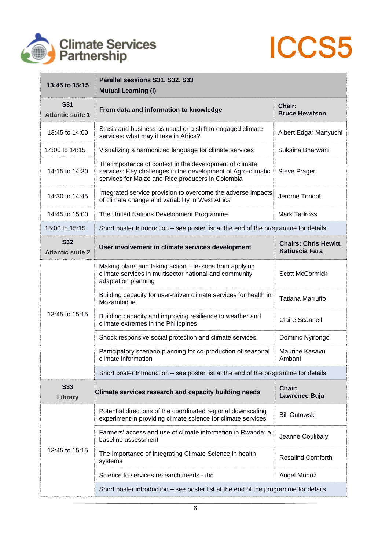



| 13:45 to 15:15                        | Parallel sessions S31, S32, S33<br><b>Mutual Learning (I)</b>                                                                                                                |                                                       |
|---------------------------------------|------------------------------------------------------------------------------------------------------------------------------------------------------------------------------|-------------------------------------------------------|
| <b>S31</b><br><b>Atlantic suite 1</b> | From data and information to knowledge                                                                                                                                       | Chair:<br><b>Bruce Hewitson</b>                       |
| 13:45 to 14:00                        | Stasis and business as usual or a shift to engaged climate<br>services: what may it take in Africa?                                                                          | Albert Edgar Manyuchi                                 |
| 14:00 to 14:15                        | Visualizing a harmonized language for climate services                                                                                                                       | Sukaina Bharwani                                      |
| 14:15 to 14:30                        | The importance of context in the development of climate<br>services: Key challenges in the development of Agro-climatic<br>services for Maize and Rice producers in Colombia | <b>Steve Prager</b>                                   |
| 14:30 to 14:45                        | Integrated service provision to overcome the adverse impacts<br>of climate change and variability in West Africa                                                             | Jerome Tondoh                                         |
| 14:45 to 15:00                        | The United Nations Development Programme                                                                                                                                     | <b>Mark Tadross</b>                                   |
| 15:00 to 15:15                        | Short poster Introduction – see poster list at the end of the programme for details                                                                                          |                                                       |
| <b>S32</b><br><b>Atlantic suite 2</b> | User involvement in climate services development                                                                                                                             | <b>Chairs: Chris Hewitt,</b><br><b>Katiuscia Fara</b> |
|                                       | Making plans and taking action - lessons from applying<br>climate services in multisector national and community<br>adaptation planning                                      | <b>Scott McCormick</b>                                |
|                                       | Building capacity for user-driven climate services for health in<br>Mozambique                                                                                               | Tatiana Marruffo                                      |
| 13:45 to 15:15                        | Building capacity and improving resilience to weather and<br>climate extremes in the Philippines                                                                             | <b>Claire Scannell</b>                                |
|                                       | Shock responsive social protection and climate services                                                                                                                      | Dominic Nyirongo                                      |
|                                       | Participatory scenario planning for co-production of seasonal<br>climate information                                                                                         | Maurine Kasavu<br>Ambani                              |
|                                       | Short poster Introduction – see poster list at the end of the programme for details                                                                                          |                                                       |
| <b>S33</b><br>Library                 | Climate services research and capacity building needs                                                                                                                        | Chair:<br>Lawrence Buja                               |
|                                       | Potential directions of the coordinated regional downscaling<br>experiment in providing climate science for climate services                                                 | <b>Bill Gutowski</b>                                  |
| 13:45 to 15:15                        | Farmers' access and use of climate information in Rwanda: a<br>baseline assessment                                                                                           | Jeanne Coulibaly                                      |
|                                       | The Importance of Integrating Climate Science in health<br>systems                                                                                                           | <b>Rosalind Cornforth</b>                             |
|                                       | Science to services research needs - tbd                                                                                                                                     | Angel Munoz                                           |
|                                       | Short poster introduction – see poster list at the end of the programme for details                                                                                          |                                                       |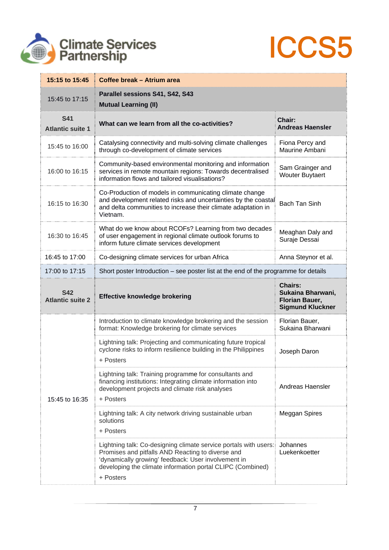



| 15:15 to 15:45                        | Coffee break - Atrium area                                                                                                                                                                                                                              |                                                                                  |
|---------------------------------------|---------------------------------------------------------------------------------------------------------------------------------------------------------------------------------------------------------------------------------------------------------|----------------------------------------------------------------------------------|
| 15:45 to 17:15                        | Parallel sessions S41, S42, S43<br><b>Mutual Learning (II)</b>                                                                                                                                                                                          |                                                                                  |
| <b>S41</b><br><b>Atlantic suite 1</b> | What can we learn from all the co-activities?                                                                                                                                                                                                           | Chair:<br><b>Andreas Haensler</b>                                                |
| 15:45 to 16:00                        | Catalysing connectivity and multi-solving climate challenges<br>through co-development of climate services                                                                                                                                              | Fiona Percy and<br>Maurine Ambani                                                |
| 16:00 to 16:15                        | Community-based environmental monitoring and information<br>services in remote mountain regions: Towards decentralised<br>information flows and tailored visualisations?                                                                                | Sam Grainger and<br><b>Wouter Buytaert</b>                                       |
| 16:15 to 16:30                        | Co-Production of models in communicating climate change<br>and development related risks and uncertainties by the coastal<br>and delta communities to increase their climate adaptation in<br>Vietnam.                                                  | Bach Tan Sinh                                                                    |
| 16:30 to 16:45                        | What do we know about RCOFs? Learning from two decades<br>of user engagement in regional climate outlook forums to<br>inform future climate services development                                                                                        | Meaghan Daly and<br>Suraje Dessai                                                |
| 16:45 to 17:00                        | Co-designing climate services for urban Africa                                                                                                                                                                                                          | Anna Steynor et al.                                                              |
| 17:00 to 17:15                        | Short poster Introduction – see poster list at the end of the programme for details                                                                                                                                                                     |                                                                                  |
| <b>S42</b><br><b>Atlantic suite 2</b> | <b>Effective knowledge brokering</b>                                                                                                                                                                                                                    | <b>Chairs:</b><br>Sukaina Bharwani,<br>Florian Bauer,<br><b>Sigmund Kluckner</b> |
|                                       | Introduction to climate knowledge brokering and the session<br>format: Knowledge brokering for climate services                                                                                                                                         | Florian Bauer,<br>Sukaina Bharwani                                               |
|                                       | Lightning talk: Projecting and communicating future tropical<br>cyclone risks to inform resilience building in the Philippines<br>+ Posters                                                                                                             | Joseph Daron                                                                     |
| 15:45 to 16:35                        | Lightning talk: Training programme for consultants and<br>financing institutions: Integrating climate information into<br>development projects and climate risk analyses<br>+ Posters                                                                   | Andreas Haensler                                                                 |
|                                       | Lightning talk: A city network driving sustainable urban<br>solutions<br>+ Posters                                                                                                                                                                      | Meggan Spires                                                                    |
|                                       | Lightning talk: Co-designing climate service portals with users:<br>Promises and pitfalls AND Reacting to diverse and<br>'dynamically growing' feedback: User involvement in<br>developing the climate information portal CLIPC (Combined)<br>+ Posters | Johannes<br>Luekenkoetter                                                        |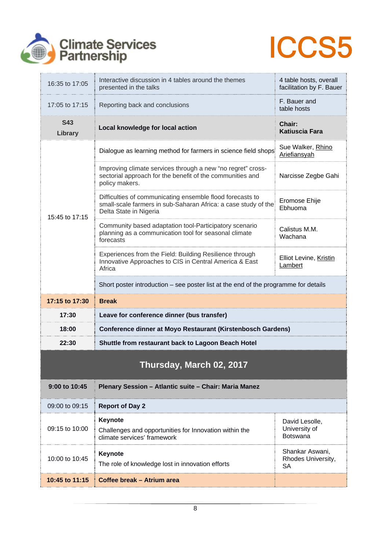



| 16:35 to 17:05           | Interactive discussion in 4 tables around the themes<br>presented in the talks                                                                        | 4 table hosts, overall<br>facilitation by F. Bauer |
|--------------------------|-------------------------------------------------------------------------------------------------------------------------------------------------------|----------------------------------------------------|
| 17:05 to 17:15           | Reporting back and conclusions                                                                                                                        | F. Bauer and<br>table hosts                        |
| <b>S43</b><br>Library    | Local knowledge for local action                                                                                                                      | Chair:<br><b>Katiuscia Fara</b>                    |
|                          | Dialogue as learning method for farmers in science field shops                                                                                        | Sue Walker, Rhino<br>Ariefiansyah                  |
|                          | Improving climate services through a new "no regret" cross-<br>sectorial approach for the benefit of the communities and<br>policy makers.            | Narcisse Zegbe Gahi                                |
| 15:45 to 17:15           | Difficulties of communicating ensemble flood forecasts to<br>small-scale farmers in sub-Saharan Africa: a case study of the<br>Delta State in Nigeria | Eromose Ehije<br>Ebhuoma                           |
|                          | Community based adaptation tool-Participatory scenario<br>planning as a communication tool for seasonal climate<br>forecasts                          | Calistus M.M.<br>Wachana                           |
|                          | Experiences from the Field: Building Resilience through<br>Innovative Approaches to CIS in Central America & East<br>Africa                           | Elliot Levine, Kristin<br>Lambert                  |
|                          | Short poster introduction – see poster list at the end of the programme for details                                                                   |                                                    |
| 17:15 to 17:30           | <b>Break</b>                                                                                                                                          |                                                    |
| 17:30                    | Leave for conference dinner (bus transfer)                                                                                                            |                                                    |
| 18:00                    | <b>Conference dinner at Moyo Restaurant (Kirstenbosch Gardens)</b>                                                                                    |                                                    |
| 22:30                    | Shuttle from restaurant back to Lagoon Beach Hotel                                                                                                    |                                                    |
| Thursday, March 02, 2017 |                                                                                                                                                       |                                                    |
| 9:00 to 10:45            | Plenary Session - Atlantic suite - Chair: Maria Manez                                                                                                 |                                                    |
| 09:00 to 09:15           | <b>Report of Day 2</b>                                                                                                                                |                                                    |
| 09:15 to 10:00           | Keynote<br>Challenges and opportunities for Innovation within the<br>climate services' framework                                                      | David Lesolle,<br>University of<br><b>Botswana</b> |
| 10:00 to 10:45           | Keynote<br>The role of knowledge lost in innovation efforts                                                                                           | Shankar Aswani,<br>Rhodes University,<br><b>SA</b> |
| 10:45 to 11:15           | Coffee break - Atrium area                                                                                                                            |                                                    |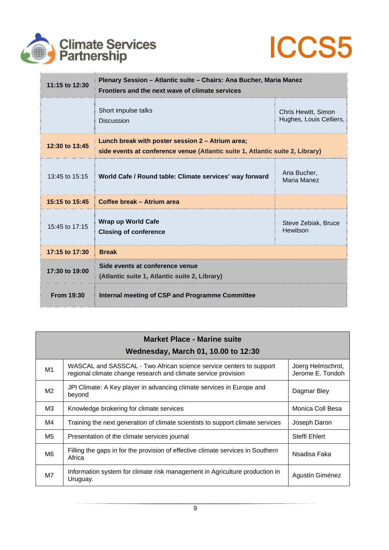



| 11:15 to 12:30    | Plenary Session - Atlantic suite - Chairs: Ana Bucher, Maria Manez<br>Frontiers and the next wave of climate services             |                                                |
|-------------------|-----------------------------------------------------------------------------------------------------------------------------------|------------------------------------------------|
|                   | Short impulse talks<br><b>Discussion</b>                                                                                          | Chris Hewitt, Simon<br>Hughes, Louis Celliers, |
| 12:30 to 13:45    | Lunch break with poster session 2 - Atrium area;<br>side events at conference venue (Atlantic suite 1, Atlantic suite 2, Library) |                                                |
| 13:45 to 15:15    | World Cafe / Round table: Climate services' way forward                                                                           | Ana Bucher,<br>Maria Manez                     |
| 15:15 to 15:45    | Coffee break - Atrium area                                                                                                        |                                                |
| 15:45 to 17:15    | Wrap up World Cafe<br><b>Closing of conference</b>                                                                                | Steve Zebiak, Bruce<br>Hewitson                |
| 17:15 to 17:30    | <b>Break</b>                                                                                                                      |                                                |
| 17:30 to 19:00    | Side events at conference venue<br>(Atlantic suite 1, Atlantic suite 2, Library)                                                  |                                                |
| <b>From 19:30</b> | Internal meeting of CSP and Programme Committee                                                                                   |                                                |

| <b>Market Place - Marine suite</b><br><b>Wednesday, March 01, 10.00 to 12:30</b> |                                                                                                                                       |                                       |
|----------------------------------------------------------------------------------|---------------------------------------------------------------------------------------------------------------------------------------|---------------------------------------|
| M1                                                                               | WASCAL and SASSCAL - Two African science service centers to support<br>regional climate change research and climate service provision | Joerg Helmschrot,<br>Jerome E. Tondoh |
| M <sub>2</sub>                                                                   | JPI Climate: A Key player in advancing climate services in Europe and<br>beyond                                                       | Dagmar Bley                           |
| ΜЗ                                                                               | Knowledge brokering for climate services                                                                                              | Monica Coll Besa                      |
| M4                                                                               | Training the next generation of climate scientists to support climate services                                                        | Joseph Daron                          |
| M5                                                                               | Presentation of the climate services journal                                                                                          | Steffi Ehlert                         |
| M6                                                                               | Filling the gaps in for the provision of effective climate services in Southern<br>Africa                                             | Nsadisa Faka                          |
| M7                                                                               | Information system for climate risk management in Agriculture production in<br>Uruguay.                                               | Agustín Giménez                       |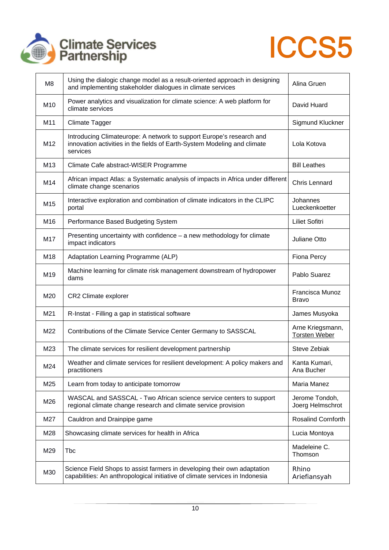



| M8              | Using the dialogic change model as a result-oriented approach in designing<br>and implementing stakeholder dialogues in climate services                     | Alina Gruen                              |
|-----------------|--------------------------------------------------------------------------------------------------------------------------------------------------------------|------------------------------------------|
| M <sub>10</sub> | Power analytics and visualization for climate science: A web platform for<br>climate services                                                                | David Huard                              |
| M11             | <b>Climate Tagger</b>                                                                                                                                        | Sigmund Kluckner                         |
| M12             | Introducing Climateurope: A network to support Europe's research and<br>innovation activities in the fields of Earth-System Modeling and climate<br>services | Lola Kotova                              |
| M <sub>13</sub> | Climate Cafe abstract-WISER Programme                                                                                                                        | <b>Bill Leathes</b>                      |
| M14             | African impact Atlas: a Systematic analysis of impacts in Africa under different<br>climate change scenarios                                                 | Chris Lennard                            |
| M15             | Interactive exploration and combination of climate indicators in the CLIPC<br>portal                                                                         | Johannes<br>Lueckenkoetter               |
| M16             | Performance Based Budgeting System                                                                                                                           | <b>Liliet Sofitri</b>                    |
| M17             | Presenting uncertainty with confidence - a new methodology for climate<br>impact indicators                                                                  | Juliane Otto                             |
| M18             | Adaptation Learning Programme (ALP)                                                                                                                          | Fiona Percy                              |
| M19             | Machine learning for climate risk management downstream of hydropower<br>dams                                                                                | Pablo Suarez                             |
| M20             | CR2 Climate explorer                                                                                                                                         | Francisca Munoz<br><b>Bravo</b>          |
| M21             | R-Instat - Filling a gap in statistical software                                                                                                             | James Musyoka                            |
| M22             | Contributions of the Climate Service Center Germany to SASSCAL                                                                                               | Arne Kriegsmann,<br><b>Torsten Weber</b> |
| M23             | The climate services for resilient development partnership                                                                                                   | Steve Zebiak                             |
| M24             | Weather and climate services for resilient development: A policy makers and<br>practitioners                                                                 | Kanta Kumari,<br>Ana Bucher              |
| M25             | Learn from today to anticipate tomorrow                                                                                                                      | Maria Manez                              |
| M26             | WASCAL and SASSCAL - Two African science service centers to support<br>regional climate change research and climate service provision                        | Jerome Tondoh,<br>Joerg Helmschrot       |
| M27             | Cauldron and Drainpipe game                                                                                                                                  | Rosalind Cornforth                       |
| M28             | Showcasing climate services for health in Africa                                                                                                             | Lucia Montoya                            |
| M29             | Tbc                                                                                                                                                          | Madeleine C.<br>Thomson                  |
| M30             | Science Field Shops to assist farmers in developing their own adaptation<br>capabilities: An anthropological initiative of climate services in Indonesia     | Rhino<br>Ariefiansyah                    |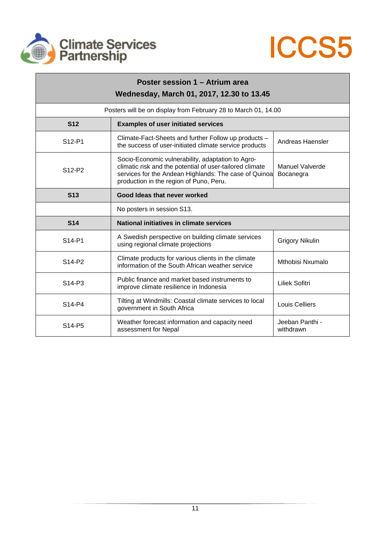



| Poster session 1 - Atrium area<br>Wednesday, March 01, 2017, 12.30 to 13.45 |                                                                                                                                                                                                                   |                              |
|-----------------------------------------------------------------------------|-------------------------------------------------------------------------------------------------------------------------------------------------------------------------------------------------------------------|------------------------------|
|                                                                             | Posters will be on display from February 28 to March 01, 14.00                                                                                                                                                    |                              |
| <b>S12</b>                                                                  | <b>Examples of user initiated services</b>                                                                                                                                                                        |                              |
| S12-P1                                                                      | Climate-Fact-Sheets and further Follow up products -<br>the success of user-initiated climate service products                                                                                                    | Andreas Haensler             |
| S12-P2                                                                      | Socio-Economic vulnerability, adaptation to Agro-<br>climatic risk and the potential of user-tailored climate<br>services for the Andean Highlands: The case of Quinoa<br>production in the region of Puno, Peru. | Manuel Valverde<br>Bocanegra |
| <b>S13</b>                                                                  | Good Ideas that never worked                                                                                                                                                                                      |                              |
|                                                                             | No posters in session S13.                                                                                                                                                                                        |                              |
| <b>S14</b>                                                                  | National initiatives in climate services                                                                                                                                                                          |                              |
| S14-P1                                                                      | A Swedish perspective on building climate services<br>using regional climate projections                                                                                                                          | <b>Grigory Nikulin</b>       |
| S14-P2                                                                      | Climate products for various clients in the climate<br>information of the South African weather service                                                                                                           | Mthobisi Nxumalo             |
| S <sub>14</sub> -P <sub>3</sub>                                             | Public finance and market based instruments to<br>improve climate resilience in Indonesia                                                                                                                         | <b>Liliek Sofitri</b>        |
| S14-P4                                                                      | Tilting at Windmills: Coastal climate services to local<br>government in South Africa                                                                                                                             | <b>Louis Celliers</b>        |
| S <sub>14</sub> -P <sub>5</sub>                                             | Weather forecast information and capacity need<br>assessment for Nepal                                                                                                                                            | Jeeban Panthi -<br>withdrawn |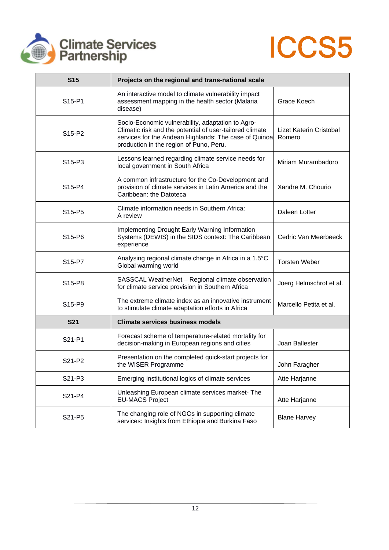



| <b>S15</b>                      | Projects on the regional and trans-national scale                                                                                                                                                                 |                                   |
|---------------------------------|-------------------------------------------------------------------------------------------------------------------------------------------------------------------------------------------------------------------|-----------------------------------|
| S15-P1                          | An interactive model to climate vulnerability impact<br>assessment mapping in the health sector (Malaria<br>disease)                                                                                              | Grace Koech                       |
| S15-P2                          | Socio-Economic vulnerability, adaptation to Agro-<br>Climatic risk and the potential of user-tailored climate<br>services for the Andean Highlands: The case of Quinoa<br>production in the region of Puno, Peru. | Lizet Katerin Cristobal<br>Romero |
| S <sub>15</sub> -P <sub>3</sub> | Lessons learned regarding climate service needs for<br>local government in South Africa                                                                                                                           | Miriam Murambadoro                |
| S15-P4                          | A common infrastructure for the Co-Development and<br>provision of climate services in Latin America and the<br>Caribbean: the Datoteca                                                                           | Xandre M. Chourio                 |
| S15-P5                          | Climate information needs in Southern Africa:<br>A review                                                                                                                                                         | Daleen Lotter                     |
| S15-P6                          | Implementing Drought Early Warning Information<br>Systems (DEWIS) in the SIDS context: The Caribbean<br>experience                                                                                                | Cedric Van Meerbeeck              |
| S15-P7                          | Analysing regional climate change in Africa in a 1.5°C<br>Global warming world                                                                                                                                    | <b>Torsten Weber</b>              |
| S <sub>15</sub> -P <sub>8</sub> | SASSCAL WeatherNet - Regional climate observation<br>for climate service provision in Southern Africa                                                                                                             | Joerg Helmschrot et al.           |
| S15-P9                          | The extreme climate index as an innovative instrument<br>to stimulate climate adaptation efforts in Africa                                                                                                        | Marcello Petita et al.            |
| <b>S21</b>                      | <b>Climate services business models</b>                                                                                                                                                                           |                                   |
| S21-P1                          | Forecast scheme of temperature-related mortality for<br>decision-making in European regions and cities                                                                                                            | Joan Ballester                    |
| S21-P2                          | Presentation on the completed quick-start projects for<br>the WISER Programme                                                                                                                                     | John Faragher                     |
| S21-P3                          | Emerging institutional logics of climate services                                                                                                                                                                 | Atte Harjanne                     |
| S21-P4                          | Unleashing European climate services market-The<br><b>EU-MACS Project</b>                                                                                                                                         | Atte Harjanne                     |
| S21-P5                          | The changing role of NGOs in supporting climate<br>services: Insights from Ethiopia and Burkina Faso                                                                                                              | <b>Blane Harvey</b>               |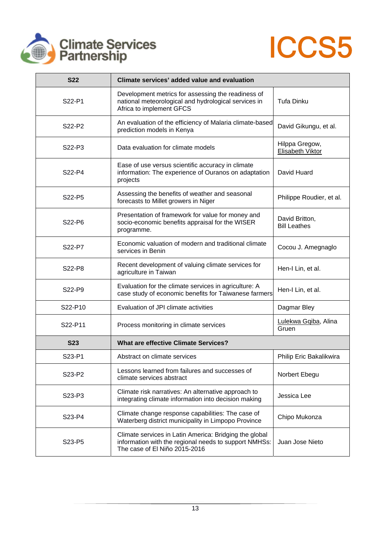



| <b>S22</b>                      | Climate services' added value and evaluation                                                                                                     |                                       |
|---------------------------------|--------------------------------------------------------------------------------------------------------------------------------------------------|---------------------------------------|
| S22-P1                          | Development metrics for assessing the readiness of<br>national meteorological and hydrological services in<br>Africa to implement GFCS           | Tufa Dinku                            |
| S22-P2                          | An evaluation of the efficiency of Malaria climate-based<br>prediction models in Kenya                                                           | David Gikungu, et al.                 |
| S <sub>22</sub> -P <sub>3</sub> | Data evaluation for climate models                                                                                                               | Hilppa Gregow,<br>Elisabeth Viktor    |
| S22-P4                          | Ease of use versus scientific accuracy in climate<br>information: The experience of Ouranos on adaptation<br>projects                            | David Huard                           |
| S <sub>22</sub> -P <sub>5</sub> | Assessing the benefits of weather and seasonal<br>forecasts to Millet growers in Niger                                                           | Philippe Roudier, et al.              |
| S22-P6                          | Presentation of framework for value for money and<br>socio-economic benefits appraisal for the WISER<br>programme.                               | David Britton,<br><b>Bill Leathes</b> |
| S22-P7                          | Economic valuation of modern and traditional climate<br>services in Benin                                                                        | Cocou J. Amegnaglo                    |
| S22-P8                          | Recent development of valuing climate services for<br>agriculture in Taiwan                                                                      | Hen-I Lin, et al.                     |
| S22-P9                          | Evaluation for the climate services in agriculture: A<br>case study of economic benefits for Taiwanese farmers                                   | Hen-I Lin, et al.                     |
| S22-P10                         | Evaluation of JPI climate activities                                                                                                             | Dagmar Bley                           |
| S22-P11                         | Process monitoring in climate services                                                                                                           | Lulekwa Gqiba, Alina<br>Gruen         |
| <b>S23</b>                      | <b>What are effective Climate Services?</b>                                                                                                      |                                       |
| S23-P1                          | Abstract on climate services                                                                                                                     | Philip Eric Bakalikwira               |
| S23-P2                          | Lessons learned from failures and successes of<br>climate services abstract                                                                      | Norbert Ebegu                         |
| S23-P3                          | Climate risk narratives: An alternative approach to<br>integrating climate information into decision making                                      | Jessica Lee                           |
| S23-P4                          | Climate change response capabilities: The case of<br>Waterberg district municipality in Limpopo Province                                         | Chipo Mukonza                         |
| S23-P5                          | Climate services in Latin America: Bridging the global<br>information with the regional needs to support NMHSs:<br>The case of El Niño 2015-2016 | Juan Jose Nieto                       |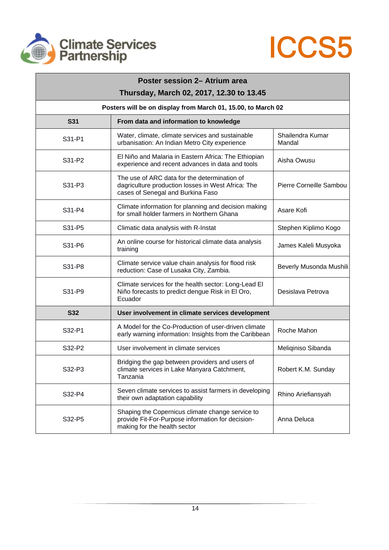



| Poster session 2– Atrium area<br>Thursday, March 02, 2017, 12.30 to 13.45 |                                                                                                                                         |                            |  |  |
|---------------------------------------------------------------------------|-----------------------------------------------------------------------------------------------------------------------------------------|----------------------------|--|--|
| Posters will be on display from March 01, 15.00, to March 02              |                                                                                                                                         |                            |  |  |
| <b>S31</b>                                                                | From data and information to knowledge                                                                                                  |                            |  |  |
| S31-P1                                                                    | Water, climate, climate services and sustainable<br>urbanisation: An Indian Metro City experience                                       | Shailendra Kumar<br>Mandal |  |  |
| S31-P2                                                                    | El Niño and Malaria in Eastern Africa: The Ethiopian<br>experience and recent advances in data and tools                                | Aisha Owusu                |  |  |
| S31-P3                                                                    | The use of ARC data for the determination of<br>dagriculture production losses in West Africa: The<br>cases of Senegal and Burkina Faso | Pierre Corneille Sambou    |  |  |
| S31-P4                                                                    | Climate information for planning and decision making<br>for small holder farmers in Northern Ghana                                      | Asare Kofi                 |  |  |
| S31-P5                                                                    | Climatic data analysis with R-Instat                                                                                                    | Stephen Kiplimo Kogo       |  |  |
| S31-P6                                                                    | An online course for historical climate data analysis<br>training                                                                       | James Kaleli Musyoka       |  |  |
| S31-P8                                                                    | Climate service value chain analysis for flood risk<br>reduction: Case of Lusaka City, Zambia.                                          | Beverly Musonda Mushili    |  |  |
| S31-P9                                                                    | Climate services for the health sector: Long-Lead El<br>Niño forecasts to predict dengue Risk in El Oro,<br>Ecuador                     | Desislava Petrova          |  |  |
| <b>S32</b>                                                                | User involvement in climate services development                                                                                        |                            |  |  |
| S32-P1                                                                    | A Model for the Co-Production of user-driven climate<br>early warning information: Insights from the Caribbean                          | Roche Mahon                |  |  |
| S32-P2                                                                    | User involvement in climate services                                                                                                    | Meliqiniso Sibanda         |  |  |
| S32-P3                                                                    | Bridging the gap between providers and users of<br>climate services in Lake Manyara Catchment,<br>Tanzania                              | Robert K.M. Sunday         |  |  |
| S32-P4                                                                    | Seven climate services to assist farmers in developing<br>their own adaptation capability                                               | Rhino Ariefiansyah         |  |  |
| S32-P5                                                                    | Shaping the Copernicus climate change service to<br>provide Fit-For-Purpose information for decision-<br>making for the health sector   | Anna Deluca                |  |  |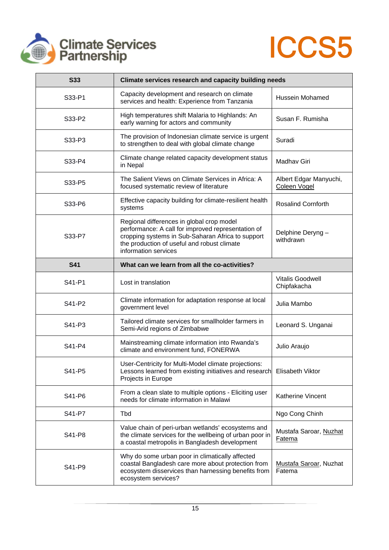



| <b>S33</b> | Climate services research and capacity building needs                                                                                                                                                                       |                                        |
|------------|-----------------------------------------------------------------------------------------------------------------------------------------------------------------------------------------------------------------------------|----------------------------------------|
| S33-P1     | Capacity development and research on climate<br>services and health: Experience from Tanzania                                                                                                                               | Hussein Mohamed                        |
| S33-P2     | High temperatures shift Malaria to Highlands: An<br>early warning for actors and community                                                                                                                                  | Susan F. Rumisha                       |
| S33-P3     | The provision of Indonesian climate service is urgent<br>to strengthen to deal with global climate change                                                                                                                   | Suradi                                 |
| S33-P4     | Climate change related capacity development status<br>in Nepal                                                                                                                                                              | Madhav Giri                            |
| S33-P5     | The Salient Views on Climate Services in Africa: A<br>focused systematic review of literature                                                                                                                               | Albert Edgar Manyuchi,<br>Coleen Vogel |
| S33-P6     | Effective capacity building for climate-resilient health<br>systems                                                                                                                                                         | <b>Rosalind Cornforth</b>              |
| S33-P7     | Regional differences in global crop model<br>performance: A call for improved representation of<br>cropping systems in Sub-Saharan Africa to support<br>the production of useful and robust climate<br>information services | Delphine Deryng -<br>withdrawn         |
| <b>S41</b> | What can we learn from all the co-activities?                                                                                                                                                                               |                                        |
| S41-P1     | Lost in translation                                                                                                                                                                                                         | <b>Vitalis Goodwell</b><br>Chipfakacha |
| S41-P2     | Climate information for adaptation response at local<br>government level                                                                                                                                                    | Julia Mambo                            |
| S41-P3     | Tailored climate services for smallholder farmers in<br>Semi-Arid regions of Zimbabwe                                                                                                                                       | Leonard S. Unganai                     |
| S41-P4     | Mainstreaming climate information into Rwanda's<br>climate and environment fund, FONERWA                                                                                                                                    | Julio Araujo                           |
| S41-P5     | User-Centricity for Multi-Model climate projections:<br>Lessons learned from existing initiatives and research<br>Projects in Europe                                                                                        | Elisabeth Viktor                       |
| S41-P6     | From a clean slate to multiple options - Eliciting user<br>needs for climate information in Malawi                                                                                                                          | Katherine Vincent                      |
| S41-P7     | Tbd                                                                                                                                                                                                                         | Ngo Cong Chinh                         |
| S41-P8     | Value chain of peri-urban wetlands' ecosystems and<br>the climate services for the wellbeing of urban poor in<br>a coastal metropolis in Bangladesh development                                                             | Mustafa Saroar, Nuzhat<br>Fatema       |
| S41-P9     | Why do some urban poor in climatically affected<br>coastal Bangladesh care more about protection from<br>ecosystem disservices than harnessing benefits from<br>ecosystem services?                                         | Mustafa Saroar, Nuzhat<br>Fatema       |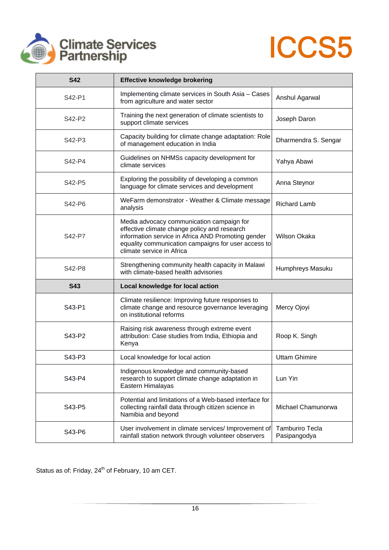



| <b>S42</b> | <b>Effective knowledge brokering</b>                                                                                                                                                                                                |                                        |
|------------|-------------------------------------------------------------------------------------------------------------------------------------------------------------------------------------------------------------------------------------|----------------------------------------|
| S42-P1     | Implementing climate services in South Asia - Cases<br>from agriculture and water sector                                                                                                                                            | Anshul Agarwal                         |
| S42-P2     | Training the next generation of climate scientists to<br>support climate services                                                                                                                                                   | Joseph Daron                           |
| S42-P3     | Capacity building for climate change adaptation: Role<br>of management education in India                                                                                                                                           | Dharmendra S. Sengar                   |
| S42-P4     | Guidelines on NHMSs capacity development for<br>climate services                                                                                                                                                                    | Yahya Abawi                            |
| S42-P5     | Exploring the possibility of developing a common<br>language for climate services and development                                                                                                                                   | Anna Steynor                           |
| S42-P6     | WeFarm demonstrator - Weather & Climate message<br>analysis                                                                                                                                                                         | <b>Richard Lamb</b>                    |
| S42-P7     | Media advocacy communication campaign for<br>effective climate change policy and research<br>information service in Africa AND Promoting gender<br>equality communication campaigns for user access to<br>climate service in Africa | Wilson Okaka                           |
| S42-P8     | Strengthening community health capacity in Malawi<br>with climate-based health advisories                                                                                                                                           | Humphreys Masuku                       |
| <b>S43</b> | Local knowledge for local action                                                                                                                                                                                                    |                                        |
| S43-P1     | Climate resilience: Improving future responses to<br>climate change and resource governance leveraging<br>on institutional reforms                                                                                                  | Mercy Ojoyi                            |
| S43-P2     | Raising risk awareness through extreme event<br>attribution: Case studies from India, Ethiopia and<br>Kenya                                                                                                                         | Roop K. Singh                          |
| S43-P3     | Local knowledge for local action                                                                                                                                                                                                    | <b>Uttam Ghimire</b>                   |
| S43-P4     | Indigenous knowledge and community-based<br>research to support climate change adaptation in<br>Eastern Himalayas                                                                                                                   | Lun Yin                                |
| S43-P5     | Potential and limitations of a Web-based interface for<br>collecting rainfall data through citizen science in<br>Namibia and beyond                                                                                                 | Michael Chamunorwa                     |
| S43-P6     | User involvement in climate services/ Improvement of<br>rainfall station network through volunteer observers                                                                                                                        | <b>Tamburiro Tecla</b><br>Pasipangodya |

Status as of: Friday, 24<sup>th</sup> of February, 10 am CET.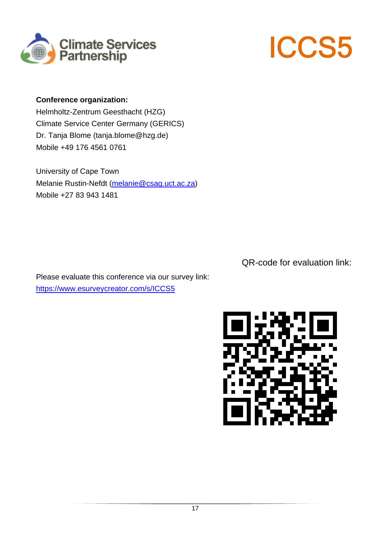



## **Conference organization:**

Helmholtz-Zentrum Geesthacht (HZG) Climate Service Center Germany (GERICS) Dr. Tanja Blome (tanja.blome@hzg.de) Mobile +49 176 4561 0761

University of Cape Town Melanie Rustin-Nefdt (melanie@csag.uct.ac.za) Mobile +27 83 943 1481

QR-code for evaluation link:

Please evaluate this conference via our survey link: https://www.esurveycreator.com/s/ICCS5